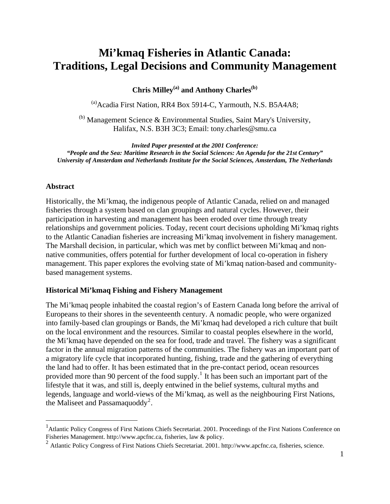# **Mi'kmaq Fisheries in Atlantic Canada: Traditions, Legal Decisions and Community Management**

Chris Milley<sup>(a)</sup> and Anthony Charles<sup>(b)</sup>

<sup>(a)</sup>Acadia First Nation, RR4 Box 5914-C, Yarmouth, N.S. B5A4A8;

 $<sup>(b)</sup>$  Management Science & Environmental Studies, Saint Mary's University,</sup> Halifax, N.S. B3H 3C3; Email: [tony.charles@smu.ca](mailto:tony.charles@stmarys.ca)

*Invited Paper presented at the 2001 Conference: "People and the Sea: Maritime Research in the Social Sciences: An Agenda for the 21st Century" University of Amsterdam and Netherlands Institute for the Social Sciences, Amsterdam, The Netherlands* 

#### **Abstract**

 $\overline{a}$ 

Historically, the Mi'kmaq, the indigenous people of Atlantic Canada, relied on and managed fisheries through a system based on clan groupings and natural cycles. However, their participation in harvesting and management has been eroded over time through treaty relationships and government policies. Today, recent court decisions upholding Mi'kmaq rights to the Atlantic Canadian fisheries are increasing Mi'kmaq involvement in fishery management. The Marshall decision, in particular, which was met by conflict between Mi'kmaq and nonnative communities, offers potential for further development of local co-operation in fishery management. This paper explores the evolving state of Mi'kmaq nation-based and communitybased management systems.

#### **Historical Mi'kmaq Fishing and Fishery Management**

The Mi'kmaq people inhabited the coastal region's of Eastern Canada long before the arrival of Europeans to their shores in the seventeenth century. A nomadic people, who were organized into family-based clan groupings or Bands, the Mi'kmaq had developed a rich culture that built on the local environment and the resources. Similar to coastal peoples elsewhere in the world, the Mi'kmaq have depended on the sea for food, trade and travel. The fishery was a significant factor in the annual migration patterns of the communities. The fishery was an important part of a migratory life cycle that incorporated hunting, fishing, trade and the gathering of everything the land had to offer. It has been estimated that in the pre-contact period, ocean resources provided more than 90 percent of the food supply.<sup>[1](#page-0-0)</sup> It has been such an important part of the lifestyle that it was, and still is, deeply entwined in the belief systems, cultural myths and legends, language and world-views of the Mi'kmaq, as well as the neighbouring First Nations, the Maliseet and Passamaquoddy<sup>[2](#page-0-1)</sup>.

<span id="page-0-0"></span><sup>&</sup>lt;sup>1</sup> Atlantic Policy Congress of First Nations Chiefs Secretariat. 2001. Proceedings of the First Nations Conference on Fisheries Management. http://www.apcfnc.ca, fisheries, law & policy.

<span id="page-0-1"></span><sup>2</sup> Atlantic Policy Congress of First Nations Chiefs Secretariat. 2001. http://www.apcfnc.ca, fisheries, science.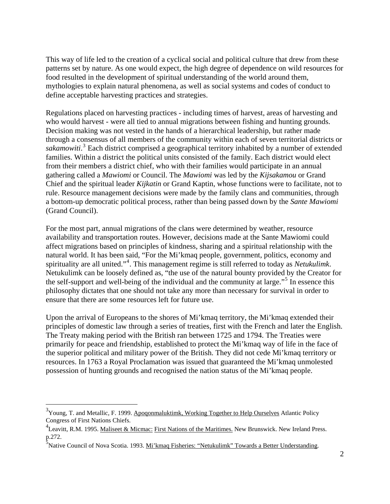This way of life led to the creation of a cyclical social and political culture that drew from these patterns set by nature. As one would expect, the high degree of dependence on wild resources for food resulted in the development of spiritual understanding of the world around them, mythologies to explain natural phenomena, as well as social systems and codes of conduct to define acceptable harvesting practices and strategies.

Regulations placed on harvesting practices - including times of harvest, areas of harvesting and who would harvest - were all tied to annual migrations between fishing and hunting grounds. Decision making was not vested in the hands of a hierarchical leadership, but rather made through a consensus of all members of the community within each of seven territorial districts or sakamowiti.<sup>[3](#page-1-0)</sup> Each district comprised a geographical territory inhabited by a number of extended families. Within a district the political units consisted of the family. Each district would elect from their members a district chief, who with their families would participate in an annual gathering called a *Mawiomi* or Council. The *Mawiomi* was led by the *Kijsakamou* or Grand Chief and the spiritual leader *Kijkatin* or Grand Kaptin, whose functions were to facilitate, not to rule. Resource management decisions were made by the family clans and communities, through a bottom-up democratic political process, rather than being passed down by the *Sante Mawiomi* (Grand Council).

For the most part, annual migrations of the clans were determined by weather, resource availability and transportation routes. However, decisions made at the Sante Mawiomi could affect migrations based on principles of kindness, sharing and a spiritual relationship with the natural world. It has been said, "For the Mi'kmaq people, government, politics, economy and spirituality are all united."[4](#page-1-1) . This management regime is still referred to today as *Netukulimk*. Netukulimk can be loosely defined as, "the use of the natural bounty provided by the Creator for the self-support and well-being of the individual and the community at large."<sup>[5](#page-1-2)</sup> In essence this philosophy dictates that one should not take any more than necessary for survival in order to ensure that there are some resources left for future use.

Upon the arrival of Europeans to the shores of Mi'kmaq territory, the Mi'kmaq extended their principles of domestic law through a series of treaties, first with the French and later the English. The Treaty making period with the British ran between 1725 and 1794. The Treaties were primarily for peace and friendship, established to protect the Mi'kmaq way of life in the face of the superior political and military power of the British. They did not cede Mi'kmaq territory or resources. In 1763 a Royal Proclamation was issued that guaranteed the Mi'kmaq unmolested possession of hunting grounds and recognised the nation status of the Mi'kmaq people.

 $\overline{a}$ 

<span id="page-1-0"></span> $3$ Young, T. and Metallic, F. 1999. Apoqonmaluktimk, Working Together to Help Ourselves Atlantic Policy Congress of First Nations Chiefs.

<span id="page-1-1"></span><sup>&</sup>lt;sup>4</sup> Leavitt, R.M. 1995. Maliseet & Micmac: First Nations of the Maritimes. New Brunswick. New Ireland Press. p.272.

<span id="page-1-2"></span><sup>&</sup>lt;sup>5</sup><br>Native Council of Nova Scotia. 1993. <u>Mi'kmaq Fisheries: "Netukulimk" Towards a Better Understanding</u>.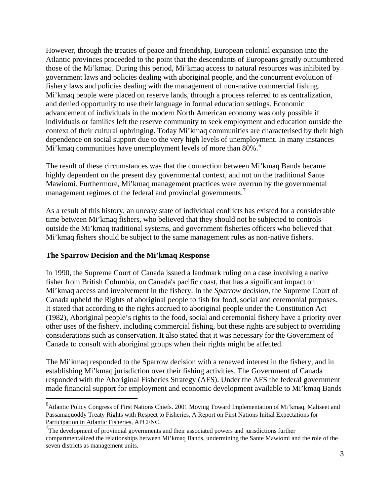However, through the treaties of peace and friendship, European colonial expansion into the Atlantic provinces proceeded to the point that the descendants of Europeans greatly outnumbered those of the Mi'kmaq. During this period, Mi'kmaq access to natural resources was inhibited by government laws and policies dealing with aboriginal people, and the concurrent evolution of fishery laws and policies dealing with the management of non-native commercial fishing. Mi'kmaq people were placed on reserve lands, through a process referred to as centralization, and denied opportunity to use their language in formal education settings. Economic advancement of individuals in the modern North American economy was only possible if individuals or families left the reserve community to seek employment and education outside the context of their cultural upbringing. Today Mi'kmaq communities are characterised by their high dependence on social support due to the very high levels of unemployment. In many instances Mi'kmaq communities have unemployment levels of more than 80%.<sup>[6](#page-2-0)</sup>

The result of these circumstances was that the connection between Mi'kmaq Bands became highly dependent on the present day governmental context, and not on the traditional Sante Mawiomi. Furthermore, Mi'kmaq management practices were overrun by the governmental management regimes of the federal and provincial governments.<sup>[7](#page-2-1)</sup>

As a result of this history, an uneasy state of individual conflicts has existed for a considerable time between Mi'kmaq fishers, who believed that they should not be subjected to controls outside the Mi'kmaq traditional systems, and government fisheries officers who believed that Mi'kmaq fishers should be subject to the same management rules as non-native fishers.

### **The Sparrow Decision and the Mi'kmaq Response**

 $\overline{a}$ 

In 1990, the Supreme Court of Canada issued a landmark ruling on a case involving a native fisher from British Columbia, on Canada's pacific coast, that has a significant impact on Mi'kmaq access and involvement in the fishery. In the *Sparrow decision*, the Supreme Court of Canada upheld the Rights of aboriginal people to fish for food, social and ceremonial purposes. It stated that according to the rights accrued to aboriginal people under the Constitution Act (1982), Aboriginal people's rights to the food, social and ceremonial fishery have a priority over other uses of the fishery, including commercial fishing, but these rights are subject to overriding considerations such as conservation. It also stated that it was necessary for the Government of Canada to consult with aboriginal groups when their rights might be affected.

The Mi'kmaq responded to the Sparrow decision with a renewed interest in the fishery, and in establishing Mi'kmaq jurisdiction over their fishing activities. The Government of Canada responded with the Aboriginal Fisheries Strategy (AFS). Under the AFS the federal government made financial support for employment and economic development available to Mi'kmaq Bands

<span id="page-2-0"></span><sup>&</sup>lt;sup>6</sup> Atlantic Policy Congress of First Nations Chiefs. 2001 Moving Toward Implementation of Mi'kmaq, Maliseet and Passamaquoddy Treaty Rights with Respect to Fisheries, A Report on First Nations Initial Expectations for Participation in Atlantic Fisheries, APCFNC.

<span id="page-2-1"></span> $\frac{7}{7}$ The development of provincial governments and their associated powers and jurisdictions further compartmentalized the relationships between Mi'kmaq Bands, undermining the Sante Mawiomi and the role of the seven districts as management units.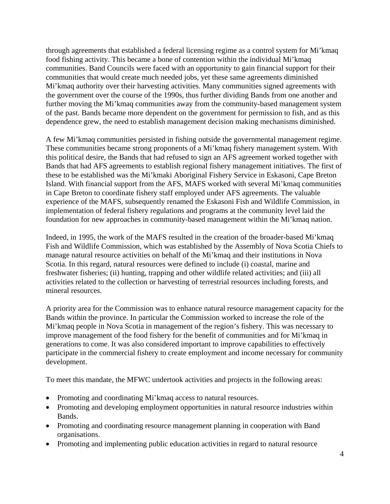through agreements that established a federal licensing regime as a control system for Mi'kmaq food fishing activity. This became a bone of contention within the individual Mi'kmaq communities. Band Councils were faced with an opportunity to gain financial support for their communities that would create much needed jobs, yet these same agreements diminished Mi'kmaq authority over their harvesting activities. Many communities signed agreements with the government over the course of the 1990s, thus further dividing Bands from one another and further moving the Mi'kmaq communities away from the community-based management system of the past. Bands became more dependent on the government for permission to fish, and as this dependence grew, the need to establish management decision making mechanisms diminished.

A few Mi'kmaq communities persisted in fishing outside the governmental management regime. These communities became strong proponents of a Mi'kmaq fishery management system. With this political desire, the Bands that had refused to sign an AFS agreement worked together with Bands that had AFS agreements to establish regional fishery management initiatives. The first of these to be established was the Mi'kmaki Aboriginal Fishery Service in Eskasoni, Cape Breton Island. With financial support from the AFS, MAFS worked with several Mi'kmaq communities in Cape Breton to coordinate fishery staff employed under AFS agreements. The valuable experience of the MAFS, subsequently renamed the Eskasoni Fish and Wildlife Commission, in implementation of federal fishery regulations and programs at the community level laid the foundation for new approaches in community-based management within the Mi'kmaq nation.

Indeed, in 1995, the work of the MAFS resulted in the creation of the broader-based Mi'kmaq Fish and Wildlife Commission, which was established by the Assembly of Nova Scotia Chiefs to manage natural resource activities on behalf of the Mi'kmaq and their institutions in Nova Scotia. In this regard, natural resources were defined to include (i) coastal, marine and freshwater fisheries; (ii) hunting, trapping and other wildlife related activities; and (iii) all activities related to the collection or harvesting of terrestrial resources including forests, and mineral resources.

A priority area for the Commission was to enhance natural resource management capacity for the Bands within the province. In particular the Commission worked to increase the role of the Mi'kmaq people in Nova Scotia in management of the region's fishery. This was necessary to improve management of the food fishery for the benefit of communities and for Mi'kmaq in generations to come. It was also considered important to improve capabilities to effectively participate in the commercial fishery to create employment and income necessary for community development.

To meet this mandate, the MFWC undertook activities and projects in the following areas:

- Promoting and coordinating Mi'kmaq access to natural resources.
- Promoting and developing employment opportunities in natural resource industries within Bands.
- Promoting and coordinating resource management planning in cooperation with Band organisations.
- Promoting and implementing public education activities in regard to natural resource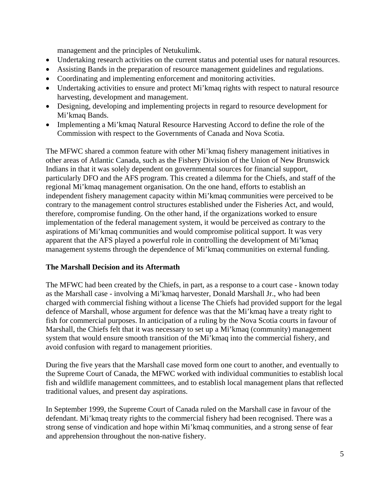management and the principles of Netukulimk.

- Undertaking research activities on the current status and potential uses for natural resources.
- Assisting Bands in the preparation of resource management guidelines and regulations.
- Coordinating and implementing enforcement and monitoring activities.
- Undertaking activities to ensure and protect Mi'kmaq rights with respect to natural resource harvesting, development and management.
- Designing, developing and implementing projects in regard to resource development for Mi'kmaq Bands.
- Implementing a Mi'kmaq Natural Resource Harvesting Accord to define the role of the Commission with respect to the Governments of Canada and Nova Scotia.

The MFWC shared a common feature with other Mi'kmaq fishery management initiatives in other areas of Atlantic Canada, such as the Fishery Division of the Union of New Brunswick Indians in that it was solely dependent on governmental sources for financial support, particularly DFO and the AFS program. This created a dilemma for the Chiefs, and staff of the regional Mi'kmaq management organisation. On the one hand, efforts to establish an independent fishery management capacity within Mi'kmaq communities were perceived to be contrary to the management control structures established under the Fisheries Act, and would, therefore, compromise funding. On the other hand, if the organizations worked to ensure implementation of the federal management system, it would be perceived as contrary to the aspirations of Mi'kmaq communities and would compromise political support. It was very apparent that the AFS played a powerful role in controlling the development of Mi'kmaq management systems through the dependence of Mi'kmaq communities on external funding.

## **The Marshall Decision and its Aftermath**

The MFWC had been created by the Chiefs, in part, as a response to a court case - known today as the Marshall case - involving a Mi'kmaq harvester, Donald Marshall Jr., who had been charged with commercial fishing without a license The Chiefs had provided support for the legal defence of Marshall, whose argument for defence was that the Mi'kmaq have a treaty right to fish for commercial purposes. In anticipation of a ruling by the Nova Scotia courts in favour of Marshall, the Chiefs felt that it was necessary to set up a Mi'kmaq (community) management system that would ensure smooth transition of the Mi'kmaq into the commercial fishery, and avoid confusion with regard to management priorities.

During the five years that the Marshall case moved form one court to another, and eventually to the Supreme Court of Canada, the MFWC worked with individual communities to establish local fish and wildlife management committees, and to establish local management plans that reflected traditional values, and present day aspirations.

In September 1999, the Supreme Court of Canada ruled on the Marshall case in favour of the defendant. Mi'kmaq treaty rights to the commercial fishery had been recognised. There was a strong sense of vindication and hope within Mi'kmaq communities, and a strong sense of fear and apprehension throughout the non-native fishery.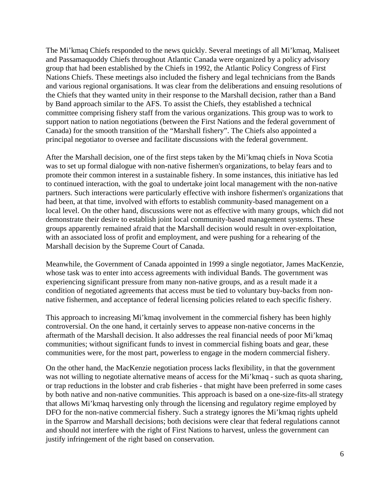The Mi'kmaq Chiefs responded to the news quickly. Several meetings of all Mi'kmaq, Maliseet and Passamaquoddy Chiefs throughout Atlantic Canada were organized by a policy advisory group that had been established by the Chiefs in 1992, the Atlantic Policy Congress of First Nations Chiefs. These meetings also included the fishery and legal technicians from the Bands and various regional organisations. It was clear from the deliberations and ensuing resolutions of the Chiefs that they wanted unity in their response to the Marshall decision, rather than a Band by Band approach similar to the AFS. To assist the Chiefs, they established a technical committee comprising fishery staff from the various organizations. This group was to work to support nation to nation negotiations (between the First Nations and the federal government of Canada) for the smooth transition of the "Marshall fishery". The Chiefs also appointed a principal negotiator to oversee and facilitate discussions with the federal government.

After the Marshall decision, one of the first steps taken by the Mi'kmaq chiefs in Nova Scotia was to set up formal dialogue with non-native fishermen's organizations, to belay fears and to promote their common interest in a sustainable fishery. In some instances, this initiative has led to continued interaction, with the goal to undertake joint local management with the non-native partners. Such interactions were particularly effective with inshore fishermen's organizations that had been, at that time, involved with efforts to establish community-based management on a local level. On the other hand, discussions were not as effective with many groups, which did not demonstrate their desire to establish joint local community-based management systems. These groups apparently remained afraid that the Marshall decision would result in over-exploitation, with an associated loss of profit and employment, and were pushing for a rehearing of the Marshall decision by the Supreme Court of Canada.

Meanwhile, the Government of Canada appointed in 1999 a single negotiator, James MacKenzie, whose task was to enter into access agreements with individual Bands. The government was experiencing significant pressure from many non-native groups, and as a result made it a condition of negotiated agreements that access must be tied to voluntary buy-backs from nonnative fishermen, and acceptance of federal licensing policies related to each specific fishery.

This approach to increasing Mi'kmaq involvement in the commercial fishery has been highly controversial. On the one hand, it certainly serves to appease non-native concerns in the aftermath of the Marshall decision. It also addresses the real financial needs of poor Mi'kmaq communities; without significant funds to invest in commercial fishing boats and gear, these communities were, for the most part, powerless to engage in the modern commercial fishery.

On the other hand, the MacKenzie negotiation process lacks flexibility, in that the government was not willing to negotiate alternative means of access for the Mi'kmaq - such as quota sharing, or trap reductions in the lobster and crab fisheries - that might have been preferred in some cases by both native and non-native communities. This approach is based on a one-size-fits-all strategy that allows Mi'kmaq harvesting only through the licensing and regulatory regime employed by DFO for the non-native commercial fishery. Such a strategy ignores the Mi'kmaq rights upheld in the Sparrow and Marshall decisions; both decisions were clear that federal regulations cannot and should not interfere with the right of First Nations to harvest, unless the government can justify infringement of the right based on conservation.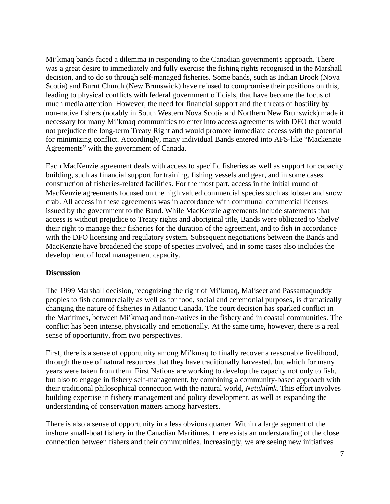Mi'kmaq bands faced a dilemma in responding to the Canadian government's approach. There was a great desire to immediately and fully exercise the fishing rights recognised in the Marshall decision, and to do so through self-managed fisheries. Some bands, such as Indian Brook (Nova Scotia) and Burnt Church (New Brunswick) have refused to compromise their positions on this, leading to physical conflicts with federal government officials, that have become the focus of much media attention. However, the need for financial support and the threats of hostility by non-native fishers (notably in South Western Nova Scotia and Northern New Brunswick) made it necessary for many Mi'kmaq communities to enter into access agreements with DFO that would not prejudice the long-term Treaty Right and would promote immediate access with the potential for minimizing conflict. Accordingly, many individual Bands entered into AFS-like "Mackenzie Agreements" with the government of Canada.

Each MacKenzie agreement deals with access to specific fisheries as well as support for capacity building, such as financial support for training, fishing vessels and gear, and in some cases construction of fisheries-related facilities. For the most part, access in the initial round of MacKenzie agreements focused on the high valued commercial species such as lobster and snow crab. All access in these agreements was in accordance with communal commercial licenses issued by the government to the Band. While MacKenzie agreements include statements that access is without prejudice to Treaty rights and aboriginal title, Bands were obligated to 'shelve' their right to manage their fisheries for the duration of the agreement, and to fish in accordance with the DFO licensing and regulatory system. Subsequent negotiations between the Bands and MacKenzie have broadened the scope of species involved, and in some cases also includes the development of local management capacity.

#### **Discussion**

The 1999 Marshall decision, recognizing the right of Mi'kmaq, Maliseet and Passamaquoddy peoples to fish commercially as well as for food, social and ceremonial purposes, is dramatically changing the nature of fisheries in Atlantic Canada. The court decision has sparked conflict in the Maritimes, between Mi'kmaq and non-natives in the fishery and in coastal communities. The conflict has been intense, physically and emotionally. At the same time, however, there is a real sense of opportunity, from two perspectives.

First, there is a sense of opportunity among Mi'kmaq to finally recover a reasonable livelihood, through the use of natural resources that they have traditionally harvested, but which for many years were taken from them. First Nations are working to develop the capacity not only to fish, but also to engage in fishery self-management, by combining a community-based approach with their traditional philosophical connection with the natural world, *Netukilmk*. This effort involves building expertise in fishery management and policy development, as well as expanding the understanding of conservation matters among harvesters.

There is also a sense of opportunity in a less obvious quarter. Within a large segment of the inshore small-boat fishery in the Canadian Maritimes, there exists an understanding of the close connection between fishers and their communities. Increasingly, we are seeing new initiatives